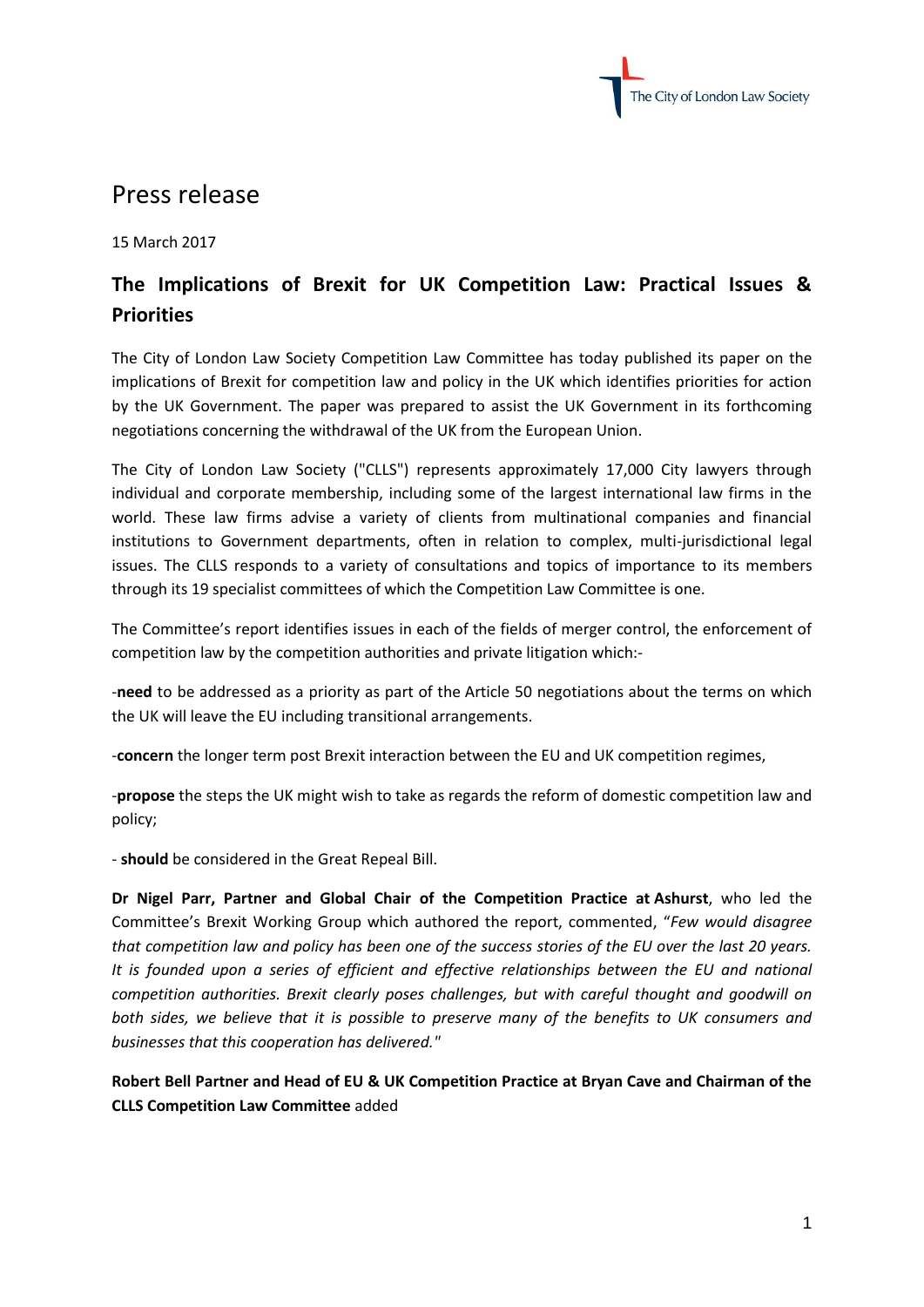

## Press release

15 March 2017

## **The Implications of Brexit for UK Competition Law: Practical Issues & Priorities**

The City of London Law Society Competition Law Committee has today published its paper on the implications of Brexit for competition law and policy in the UK which identifies priorities for action by the UK Government. The paper was prepared to assist the UK Government in its forthcoming negotiations concerning the withdrawal of the UK from the European Union.

The City of London Law Society ("CLLS") represents approximately 17,000 City lawyers through individual and corporate membership, including some of the largest international law firms in the world. These law firms advise a variety of clients from multinational companies and financial institutions to Government departments, often in relation to complex, multi-jurisdictional legal issues. The CLLS responds to a variety of consultations and topics of importance to its members through its 19 specialist committees of which the Competition Law Committee is one.

The Committee's report identifies issues in each of the fields of merger control, the enforcement of competition law by the competition authorities and private litigation which:-

-**need** to be addressed as a priority as part of the Article 50 negotiations about the terms on which the UK will leave the EU including transitional arrangements.

-**concern** the longer term post Brexit interaction between the EU and UK competition regimes,

-**propose** the steps the UK might wish to take as regards the reform of domestic competition law and policy;

- **should** be considered in the Great Repeal Bill.

**Dr Nigel Parr, Partner and Global Chair of the Competition Practice at Ashurst**, who led the Committee's Brexit Working Group which authored the report, commented, "*Few would disagree that competition law and policy has been one of the success stories of the EU over the last 20 years. It is founded upon a series of efficient and effective relationships between the EU and national competition authorities. Brexit clearly poses challenges, but with careful thought and goodwill on both sides, we believe that it is possible to preserve many of the benefits to UK consumers and businesses that this cooperation has delivered."*

**Robert Bell Partner and Head of EU & UK Competition Practice at Bryan Cave and Chairman of the CLLS Competition Law Committee** added